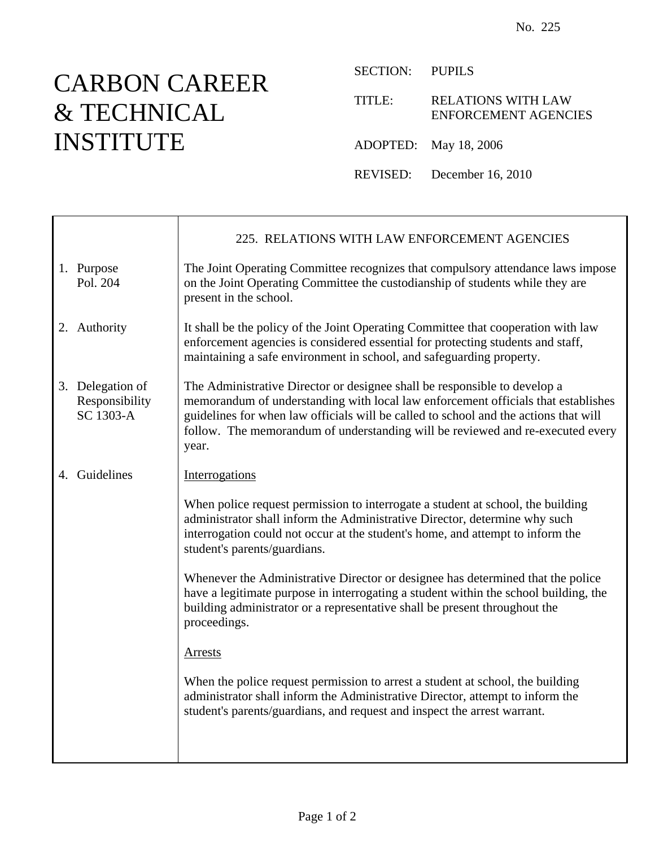## CARBON CAREER & TECHNICAL INSTITUTE

T

SECTION: PUPILS

TITLE: RELATIONS WITH LAW ENFORCEMENT AGENCIES

ADOPTED: May 18, 2006

REVISED: December 16, 2010

|                                                 | 225. RELATIONS WITH LAW ENFORCEMENT AGENCIES                                                                                                                                                                                                                                                                                                      |
|-------------------------------------------------|---------------------------------------------------------------------------------------------------------------------------------------------------------------------------------------------------------------------------------------------------------------------------------------------------------------------------------------------------|
| 1. Purpose<br>Pol. 204                          | The Joint Operating Committee recognizes that compulsory attendance laws impose<br>on the Joint Operating Committee the custodianship of students while they are<br>present in the school.                                                                                                                                                        |
| 2. Authority                                    | It shall be the policy of the Joint Operating Committee that cooperation with law<br>enforcement agencies is considered essential for protecting students and staff,<br>maintaining a safe environment in school, and safeguarding property.                                                                                                      |
| 3. Delegation of<br>Responsibility<br>SC 1303-A | The Administrative Director or designee shall be responsible to develop a<br>memorandum of understanding with local law enforcement officials that establishes<br>guidelines for when law officials will be called to school and the actions that will<br>follow. The memorandum of understanding will be reviewed and re-executed every<br>year. |
| 4. Guidelines                                   | Interrogations                                                                                                                                                                                                                                                                                                                                    |
|                                                 | When police request permission to interrogate a student at school, the building<br>administrator shall inform the Administrative Director, determine why such<br>interrogation could not occur at the student's home, and attempt to inform the<br>student's parents/guardians.                                                                   |
|                                                 | Whenever the Administrative Director or designee has determined that the police<br>have a legitimate purpose in interrogating a student within the school building, the<br>building administrator or a representative shall be present throughout the<br>proceedings.                                                                             |
|                                                 | <b>Arrests</b>                                                                                                                                                                                                                                                                                                                                    |
|                                                 | When the police request permission to arrest a student at school, the building<br>administrator shall inform the Administrative Director, attempt to inform the<br>student's parents/guardians, and request and inspect the arrest warrant.                                                                                                       |
|                                                 |                                                                                                                                                                                                                                                                                                                                                   |